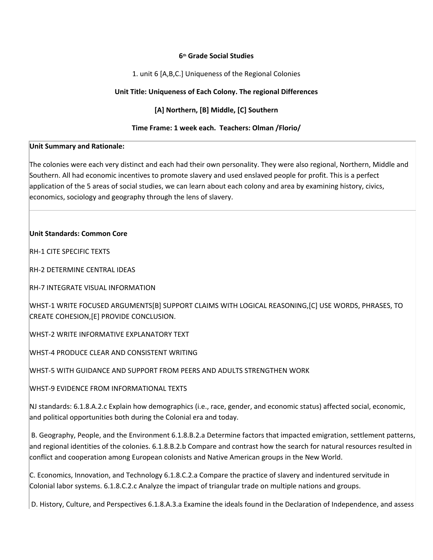#### **6th Grade Social Studies**

1. unit 6 [A,B,C.] Uniqueness of the Regional Colonies

# **Unit Title: Uniqueness of Each Colony. The regional Differences**

# **[A] Northern, [B] Middle, [C] Southern**

### **Time Frame: 1 week each. Teachers: Olman /Florio/**

#### **Unit Summary and Rationale:**

The colonies were each very distinct and each had their own personality. They were also regional, Northern, Middle and Southern. All had economic incentives to promote slavery and used enslaved people for profit. This is a perfect application of the 5 areas of social studies, we can learn about each colony and area by examining history, civics, economics, sociology and geography through the lens of slavery.

### **Unit Standards: Common Core**

RH-1 CITE SPECIFIC TEXTS

RH-2 DETERMINE CENTRAL IDEAS

RH-7 INTEGRATE VISUAL INFORMATION

WHST-1 WRITE FOCUSED ARGUMENTS[B] SUPPORT CLAIMS WITH LOGICAL REASONING,[C] USE WORDS, PHRASES, TO CREATE COHESION,[E] PROVIDE CONCLUSION.

WHST-2 WRITE INFORMATIVE EXPLANATORY TEXT

WHST-4 PRODUCE CLEAR AND CONSISTENT WRITING

WHST-5 WITH GUIDANCE AND SUPPORT FROM PEERS AND ADULTS STRENGTHEN WORK

WHST-9 EVIDENCE FROM INFORMATIONAL TEXTS

NJ standards: 6.1.8.A.2.c Explain how demographics (i.e., race, gender, and economic status) affected social, economic, and political opportunities both during the Colonial era and today.

 B. Geography, People, and the Environment 6.1.8.B.2.a Determine factors that impacted emigration, settlement patterns, and regional identities of the colonies. 6.1.8.B.2.b Compare and contrast how the search for natural resources resulted in conflict and cooperation among European colonists and Native American groups in the New World.

C. Economics, Innovation, and Technology 6.1.8.C.2.a Compare the practice of slavery and indentured servitude in Colonial labor systems. 6.1.8.C.2.c Analyze the impact of triangular trade on multiple nations and groups.

D. History, Culture, and Perspectives 6.1.8.A.3.a Examine the ideals found in the Declaration of Independence, and assess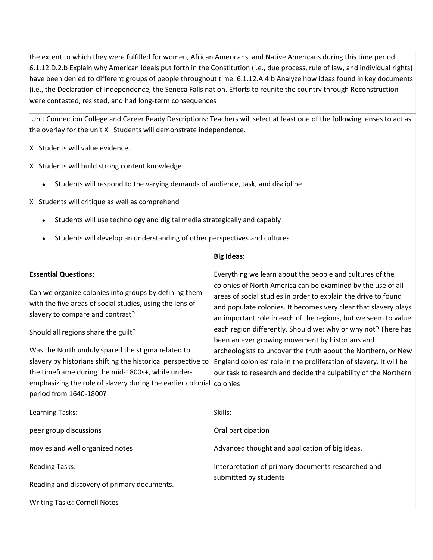the extent to which they were fulfilled for women, African Americans, and Native Americans during this time period. 6.1.12.D.2.b Explain why American ideals put forth in the Constitution (i.e., due process, rule of law, and individual rights) have been denied to different groups of people throughout time. 6.1.12.A.4.b Analyze how ideas found in key documents (i.e., the Declaration of Independence, the Seneca Falls nation. Efforts to reunite the country through Reconstruction were contested, resisted, and had long-term consequences

 Unit Connection College and Career Ready Descriptions: Teachers will select at least one of the following lenses to act as the overlay for the unit X Students will demonstrate independence.

X Students will value evidence.

X Students will build strong content knowledge

- Students will respond to the varying demands of audience, task, and discipline
- X Students will critique as well as comprehend
	- Students will use technology and digital media strategically and capably
	- Students will develop an understanding of other perspectives and cultures

|                                                                      | <b>Big Ideas:</b>                                                                                                                 |
|----------------------------------------------------------------------|-----------------------------------------------------------------------------------------------------------------------------------|
| <b>Essential Questions:</b>                                          | Everything we learn about the people and cultures of the                                                                          |
| Can we organize colonies into groups by defining them                | colonies of North America can be examined by the use of all                                                                       |
| with the five areas of social studies, using the lens of             | areas of social studies in order to explain the drive to found<br>and populate colonies. It becomes very clear that slavery plays |
| slavery to compare and contrast?                                     | an important role in each of the regions, but we seem to value                                                                    |
| Should all regions share the guilt?                                  | each region differently. Should we; why or why not? There has                                                                     |
|                                                                      | been an ever growing movement by historians and                                                                                   |
| Was the North unduly spared the stigma related to                    | archeologists to uncover the truth about the Northern, or New                                                                     |
| slavery by historians shifting the historical perspective to         | England colonies' role in the proliferation of slavery. It will be                                                                |
| the timeframe during the mid-1800s+, while under-                    | our task to research and decide the culpability of the Northern                                                                   |
| emphasizing the role of slavery during the earlier colonial colonies |                                                                                                                                   |
| period from 1640-1800?                                               |                                                                                                                                   |
| Learning Tasks:                                                      | Skills:                                                                                                                           |
| peer group discussions                                               | Oral participation                                                                                                                |
| movies and well organized notes                                      | Advanced thought and application of big ideas.                                                                                    |
| <b>Reading Tasks:</b>                                                | Interpretation of primary documents researched and                                                                                |
| Reading and discovery of primary documents.                          | submitted by students                                                                                                             |
| <b>Writing Tasks: Cornell Notes</b>                                  |                                                                                                                                   |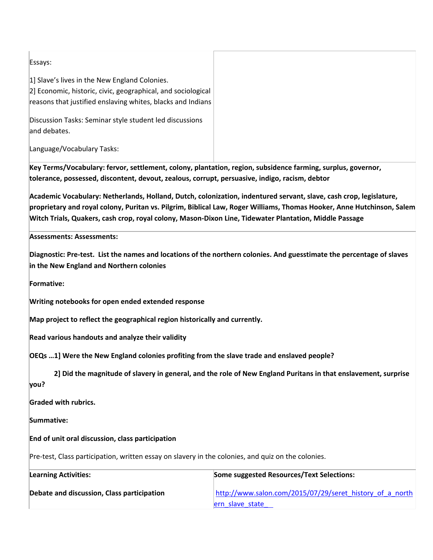Essays:

1] Slave's lives in the New England Colonies.

2] Economic, historic, civic, geographical, and sociological reasons that justified enslaving whites, blacks and Indians

Discussion Tasks: Seminar style student led discussions and debates.

Language/Vocabulary Tasks:

**Key Terms/Vocabulary: fervor, settlement, colony, plantation, region, subsidence farming, surplus, governor, tolerance, possessed, discontent, devout, zealous, corrupt, persuasive, indigo, racism, debtor**

**Academic Vocabulary: Netherlands, Holland, Dutch, colonization, indentured servant, slave, cash crop, legislature, proprietary and royal colony, Puritan vs. Pilgrim, Biblical Law, Roger Williams, Thomas Hooker, Anne Hutchinson, Salem Witch Trials, Quakers, cash crop, royal colony, Mason-Dixon Line, Tidewater Plantation, Middle Passage**

**Assessments: Assessments:**

**Diagnostic: Pre-test. List the names and locations of the northern colonies. And guesstimate the percentage of slaves in the New England and Northern colonies**

**Formative:**

**Writing notebooks for open ended extended response**

**Map project to reflect the geographical region historically and currently.**

**Read various handouts and analyze their validity**

**OEQs …1] Were the New England colonies profiting from the slave trade and enslaved people?**

 **2] Did the magnitude of slavery in general, and the role of New England Puritans in that enslavement, surprise you?** 

**Graded with rubrics.** 

**Summative:** 

**End of unit oral discussion, class participation**

Pre-test, Class participation, written essay on slavery in the colonies, and quiz on the colonies.

| <b>Learning Activities:</b>                | Some suggested Resources/Text Selections:                |
|--------------------------------------------|----------------------------------------------------------|
| Debate and discussion, Class participation | http://www.salon.com/2015/07/29/seret_history_of_a_north |
|                                            | ern slave state                                          |